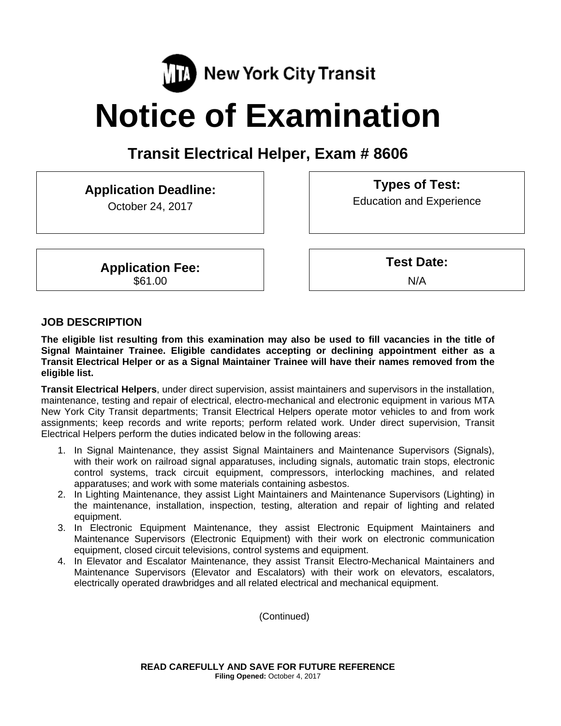

# **Notice of Examination**

## **Transit Electrical Helper, Exam # 8606**

## **Application Deadline:**

October 24, 2017

**Application Fee:**  \$61.00

**Types of Test:**  Education and Experience

**Test Date:**

N/A

## **JOB DESCRIPTION**

**The eligible list resulting from this examination may also be used to fill vacancies in the title of Signal Maintainer Trainee. Eligible candidates accepting or declining appointment either as a Transit Electrical Helper or as a Signal Maintainer Trainee will have their names removed from the eligible list.** 

**Transit Electrical Helpers**, under direct supervision, assist maintainers and supervisors in the installation, maintenance, testing and repair of electrical, electro-mechanical and electronic equipment in various MTA New York City Transit departments; Transit Electrical Helpers operate motor vehicles to and from work assignments; keep records and write reports; perform related work. Under direct supervision, Transit Electrical Helpers perform the duties indicated below in the following areas:

- 1. In Signal Maintenance, they assist Signal Maintainers and Maintenance Supervisors (Signals), with their work on railroad signal apparatuses, including signals, automatic train stops, electronic control systems, track circuit equipment, compressors, interlocking machines, and related apparatuses; and work with some materials containing asbestos.
- 2. In Lighting Maintenance, they assist Light Maintainers and Maintenance Supervisors (Lighting) in the maintenance, installation, inspection, testing, alteration and repair of lighting and related equipment.
- 3. In Electronic Equipment Maintenance, they assist Electronic Equipment Maintainers and Maintenance Supervisors (Electronic Equipment) with their work on electronic communication equipment, closed circuit televisions, control systems and equipment.
- 4. In Elevator and Escalator Maintenance, they assist Transit Electro-Mechanical Maintainers and Maintenance Supervisors (Elevator and Escalators) with their work on elevators, escalators, electrically operated drawbridges and all related electrical and mechanical equipment.

(Continued)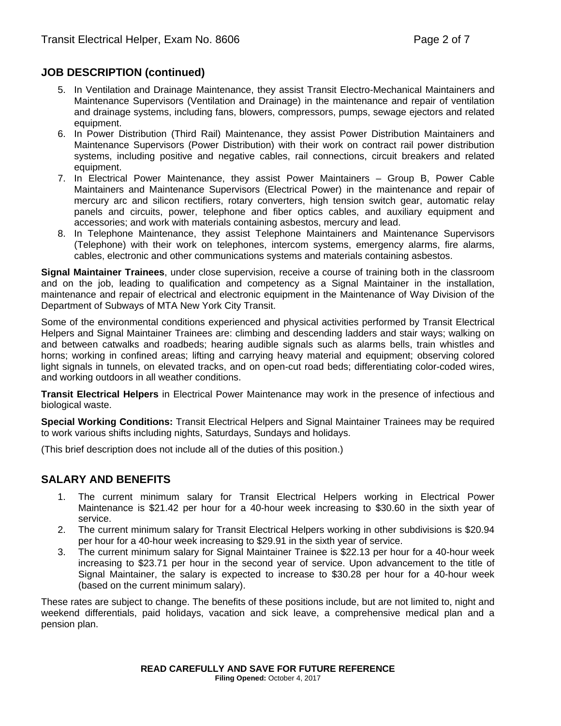## **JOB DESCRIPTION (continued)**

- 5. In Ventilation and Drainage Maintenance, they assist Transit Electro-Mechanical Maintainers and Maintenance Supervisors (Ventilation and Drainage) in the maintenance and repair of ventilation and drainage systems, including fans, blowers, compressors, pumps, sewage ejectors and related equipment.
- 6. In Power Distribution (Third Rail) Maintenance, they assist Power Distribution Maintainers and Maintenance Supervisors (Power Distribution) with their work on contract rail power distribution systems, including positive and negative cables, rail connections, circuit breakers and related equipment.
- 7. In Electrical Power Maintenance, they assist Power Maintainers Group B, Power Cable Maintainers and Maintenance Supervisors (Electrical Power) in the maintenance and repair of mercury arc and silicon rectifiers, rotary converters, high tension switch gear, automatic relay panels and circuits, power, telephone and fiber optics cables, and auxiliary equipment and accessories; and work with materials containing asbestos, mercury and lead.
- 8. In Telephone Maintenance, they assist Telephone Maintainers and Maintenance Supervisors (Telephone) with their work on telephones, intercom systems, emergency alarms, fire alarms, cables, electronic and other communications systems and materials containing asbestos.

**Signal Maintainer Trainees**, under close supervision, receive a course of training both in the classroom and on the job, leading to qualification and competency as a Signal Maintainer in the installation, maintenance and repair of electrical and electronic equipment in the Maintenance of Way Division of the Department of Subways of MTA New York City Transit.

Some of the environmental conditions experienced and physical activities performed by Transit Electrical Helpers and Signal Maintainer Trainees are: climbing and descending ladders and stair ways; walking on and between catwalks and roadbeds; hearing audible signals such as alarms bells, train whistles and horns; working in confined areas; lifting and carrying heavy material and equipment; observing colored light signals in tunnels, on elevated tracks, and on open-cut road beds; differentiating color-coded wires, and working outdoors in all weather conditions.

**Transit Electrical Helpers** in Electrical Power Maintenance may work in the presence of infectious and biological waste.

**Special Working Conditions:** Transit Electrical Helpers and Signal Maintainer Trainees may be required to work various shifts including nights, Saturdays, Sundays and holidays.

(This brief description does not include all of the duties of this position.)

## **SALARY AND BENEFITS**

- 1. The current minimum salary for Transit Electrical Helpers working in Electrical Power Maintenance is \$21.42 per hour for a 40-hour week increasing to \$30.60 in the sixth year of service.
- 2. The current minimum salary for Transit Electrical Helpers working in other subdivisions is \$20.94 per hour for a 40-hour week increasing to \$29.91 in the sixth year of service.
- 3. The current minimum salary for Signal Maintainer Trainee is \$22.13 per hour for a 40-hour week increasing to \$23.71 per hour in the second year of service. Upon advancement to the title of Signal Maintainer, the salary is expected to increase to \$30.28 per hour for a 40-hour week (based on the current minimum salary).

These rates are subject to change. The benefits of these positions include, but are not limited to, night and weekend differentials, paid holidays, vacation and sick leave, a comprehensive medical plan and a pension plan.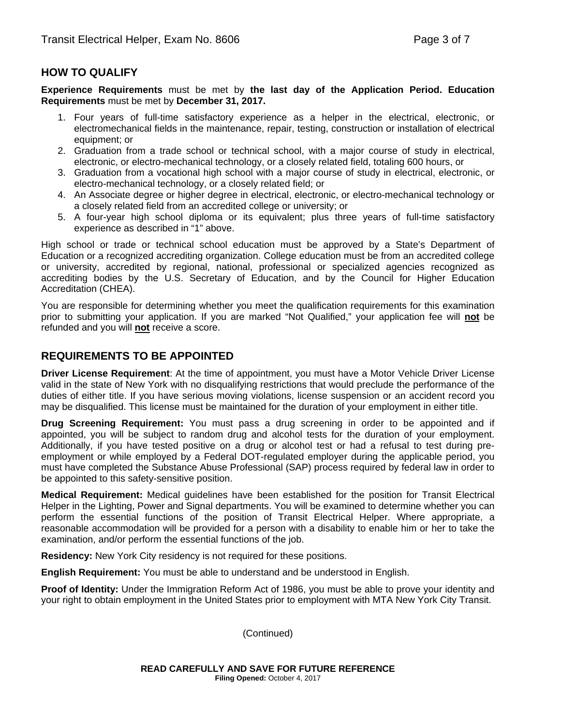## **HOW TO QUALIFY**

**Experience Requirements** must be met by **the last day of the Application Period. Education Requirements** must be met by **December 31, 2017.** 

- 1. Four years of full-time satisfactory experience as a helper in the electrical, electronic, or electromechanical fields in the maintenance, repair, testing, construction or installation of electrical equipment; or
- 2. Graduation from a trade school or technical school, with a major course of study in electrical, electronic, or electro-mechanical technology, or a closely related field, totaling 600 hours, or
- 3. Graduation from a vocational high school with a major course of study in electrical, electronic, or electro-mechanical technology, or a closely related field; or
- 4. An Associate degree or higher degree in electrical, electronic, or electro-mechanical technology or a closely related field from an accredited college or university; or
- 5. A four-year high school diploma or its equivalent; plus three years of full-time satisfactory experience as described in "1" above.

High school or trade or technical school education must be approved by a State's Department of Education or a recognized accrediting organization. College education must be from an accredited college or university, accredited by regional, national, professional or specialized agencies recognized as accrediting bodies by the U.S. Secretary of Education, and by the Council for Higher Education Accreditation (CHEA).

You are responsible for determining whether you meet the qualification requirements for this examination prior to submitting your application. If you are marked "Not Qualified," your application fee will **not** be refunded and you will **not** receive a score.

## **REQUIREMENTS TO BE APPOINTED**

**Driver License Requirement**: At the time of appointment, you must have a Motor Vehicle Driver License valid in the state of New York with no disqualifying restrictions that would preclude the performance of the duties of either title. If you have serious moving violations, license suspension or an accident record you may be disqualified. This license must be maintained for the duration of your employment in either title.

**Drug Screening Requirement:** You must pass a drug screening in order to be appointed and if appointed, you will be subject to random drug and alcohol tests for the duration of your employment. Additionally, if you have tested positive on a drug or alcohol test or had a refusal to test during preemployment or while employed by a Federal DOT-regulated employer during the applicable period, you must have completed the Substance Abuse Professional (SAP) process required by federal law in order to be appointed to this safety-sensitive position.

**Medical Requirement:** Medical guidelines have been established for the position for Transit Electrical Helper in the Lighting, Power and Signal departments. You will be examined to determine whether you can perform the essential functions of the position of Transit Electrical Helper. Where appropriate, a reasonable accommodation will be provided for a person with a disability to enable him or her to take the examination, and/or perform the essential functions of the job.

**Residency:** New York City residency is not required for these positions.

**English Requirement:** You must be able to understand and be understood in English.

**Proof of Identity:** Under the Immigration Reform Act of 1986, you must be able to prove your identity and your right to obtain employment in the United States prior to employment with MTA New York City Transit.

(Continued)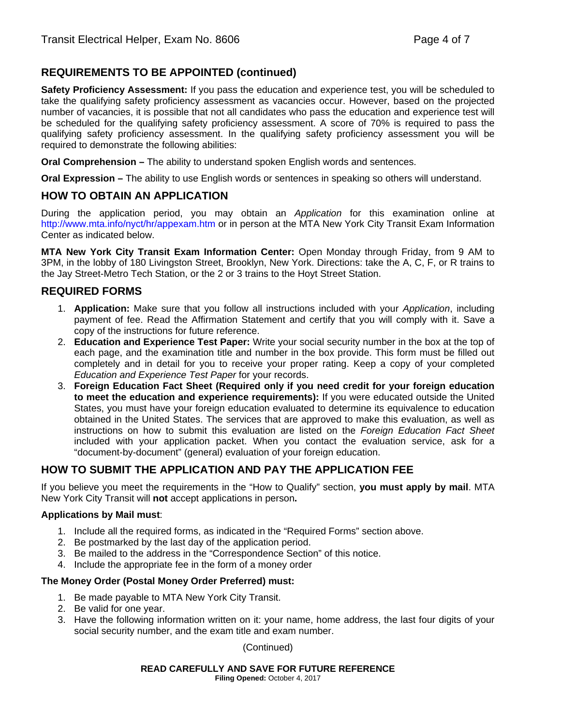## **REQUIREMENTS TO BE APPOINTED (continued)**

**Safety Proficiency Assessment:** If you pass the education and experience test, you will be scheduled to take the qualifying safety proficiency assessment as vacancies occur. However, based on the projected number of vacancies, it is possible that not all candidates who pass the education and experience test will be scheduled for the qualifying safety proficiency assessment. A score of 70% is required to pass the qualifying safety proficiency assessment. In the qualifying safety proficiency assessment you will be required to demonstrate the following abilities:

**Oral Comprehension –** The ability to understand spoken English words and sentences.

**Oral Expression –** The ability to use English words or sentences in speaking so others will understand.

## **HOW TO OBTAIN AN APPLICATION**

During the application period, you may obtain an *Application* for this examination online at http://www.mta.info/nyct/hr/appexam.htm or in person at the MTA New York City Transit Exam Information Center as indicated below.

**MTA New York City Transit Exam Information Center:** Open Monday through Friday, from 9 AM to 3PM, in the lobby of 180 Livingston Street, Brooklyn, New York. Directions: take the A, C, F, or R trains to the Jay Street-Metro Tech Station, or the 2 or 3 trains to the Hoyt Street Station.

## **REQUIRED FORMS**

- 1. **Application:** Make sure that you follow all instructions included with your *Application*, including payment of fee. Read the Affirmation Statement and certify that you will comply with it. Save a copy of the instructions for future reference.
- 2. **Education and Experience Test Paper:** Write your social security number in the box at the top of each page, and the examination title and number in the box provide. This form must be filled out completely and in detail for you to receive your proper rating. Keep a copy of your completed *Education and Experience Test Paper* for your records.
- 3. **Foreign Education Fact Sheet (Required only if you need credit for your foreign education to meet the education and experience requirements):** If you were educated outside the United States, you must have your foreign education evaluated to determine its equivalence to education obtained in the United States. The services that are approved to make this evaluation, as well as instructions on how to submit this evaluation are listed on the *Foreign Education Fact Sheet*  included with your application packet. When you contact the evaluation service, ask for a "document-by-document" (general) evaluation of your foreign education.

## **HOW TO SUBMIT THE APPLICATION AND PAY THE APPLICATION FEE**

If you believe you meet the requirements in the "How to Qualify" section, **you must apply by mail**. MTA New York City Transit will **not** accept applications in person**.** 

#### **Applications by Mail must**:

- 1. Include all the required forms, as indicated in the "Required Forms" section above.
- 2. Be postmarked by the last day of the application period.
- 3. Be mailed to the address in the "Correspondence Section" of this notice.
- 4. Include the appropriate fee in the form of a money order

#### **The Money Order (Postal Money Order Preferred) must:**

- 1. Be made payable to MTA New York City Transit.
- 2. Be valid for one year.
- 3. Have the following information written on it: your name, home address, the last four digits of your social security number, and the exam title and exam number.

(Continued)

## **READ CAREFULLY AND SAVE FOR FUTURE REFERENCE**

**Filing Opened:** October 4, 2017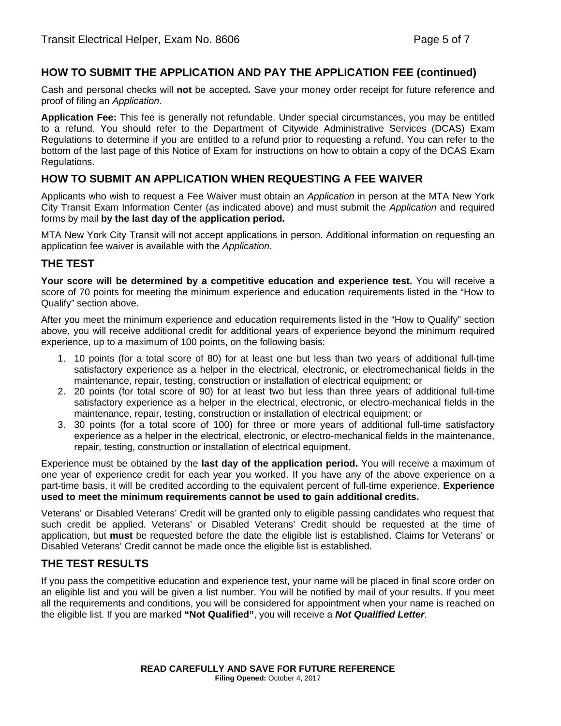## **HOW TO SUBMIT THE APPLICATION AND PAY THE APPLICATION FEE (continued)**

Cash and personal checks will **not** be accepted**.** Save your money order receipt for future reference and proof of filing an *Application*.

**Application Fee:** This fee is generally not refundable. Under special circumstances, you may be entitled to a refund. You should refer to the Department of Citywide Administrative Services (DCAS) Exam Regulations to determine if you are entitled to a refund prior to requesting a refund. You can refer to the bottom of the last page of this Notice of Exam for instructions on how to obtain a copy of the DCAS Exam Regulations.

## **HOW TO SUBMIT AN APPLICATION WHEN REQUESTING A FEE WAIVER**

Applicants who wish to request a Fee Waiver must obtain an *Application* in person at the MTA New York City Transit Exam Information Center (as indicated above) and must submit the *Application* and required forms by mail **by the last day of the application period.**

MTA New York City Transit will not accept applications in person. Additional information on requesting an application fee waiver is available with the *Application*.

## **THE TEST**

**Your score will be determined by a competitive education and experience test.** You will receive a score of 70 points for meeting the minimum experience and education requirements listed in the "How to Qualify" section above.

After you meet the minimum experience and education requirements listed in the "How to Qualify" section above, you will receive additional credit for additional years of experience beyond the minimum required experience, up to a maximum of 100 points, on the following basis:

- 1. 10 points (for a total score of 80) for at least one but less than two years of additional full-time satisfactory experience as a helper in the electrical, electronic, or electromechanical fields in the maintenance, repair, testing, construction or installation of electrical equipment; or
- 2. 20 points (for total score of 90) for at least two but less than three years of additional full-time satisfactory experience as a helper in the electrical, electronic, or electro-mechanical fields in the maintenance, repair, testing, construction or installation of electrical equipment; or
- 3. 30 points (for a total score of 100) for three or more years of additional full-time satisfactory experience as a helper in the electrical, electronic, or electro-mechanical fields in the maintenance, repair, testing, construction or installation of electrical equipment.

Experience must be obtained by the **last day of the application period.** You will receive a maximum of one year of experience credit for each year you worked. If you have any of the above experience on a part-time basis, it will be credited according to the equivalent percent of full-time experience. **Experience used to meet the minimum requirements cannot be used to gain additional credits.** 

Veterans' or Disabled Veterans' Credit will be granted only to eligible passing candidates who request that such credit be applied. Veterans' or Disabled Veterans' Credit should be requested at the time of application, but **must** be requested before the date the eligible list is established. Claims for Veterans' or Disabled Veterans' Credit cannot be made once the eligible list is established.

## **THE TEST RESULTS**

If you pass the competitive education and experience test, your name will be placed in final score order on an eligible list and you will be given a list number. You will be notified by mail of your results. If you meet all the requirements and conditions, you will be considered for appointment when your name is reached on the eligible list. If you are marked **"Not Qualified"**, you will receive a *Not Qualified Letter*.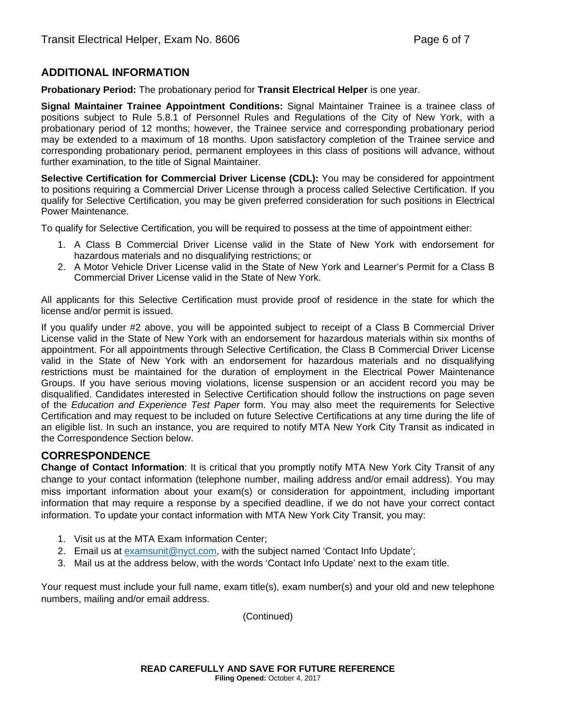## **ADDITIONAL INFORMATION**

**Probationary Period:** The probationary period for **Transit Electrical Helper** is one year.

**Signal Maintainer Trainee Appointment Conditions:** Signal Maintainer Trainee is a trainee class of positions subject to Rule 5.8.1 of Personnel Rules and Regulations of the City of New York, with a probationary period of 12 months; however, the Trainee service and corresponding probationary period may be extended to a maximum of 18 months. Upon satisfactory completion of the Trainee service and corresponding probationary period, permanent employees in this class of positions will advance, without further examination, to the title of Signal Maintainer.

**Selective Certification for Commercial Driver License (CDL):** You may be considered for appointment to positions requiring a Commercial Driver License through a process called Selective Certification. If you qualify for Selective Certification, you may be given preferred consideration for such positions in Electrical Power Maintenance.

To qualify for Selective Certification, you will be required to possess at the time of appointment either:

- 1. A Class B Commercial Driver License valid in the State of New York with endorsement for hazardous materials and no disqualifying restrictions; or
- 2. A Motor Vehicle Driver License valid in the State of New York and Learner's Permit for a Class B Commercial Driver License valid in the State of New York.

All applicants for this Selective Certification must provide proof of residence in the state for which the license and/or permit is issued.

If you qualify under #2 above, you will be appointed subject to receipt of a Class B Commercial Driver License valid in the State of New York with an endorsement for hazardous materials within six months of appointment. For all appointments through Selective Certification, the Class B Commercial Driver License valid in the State of New York with an endorsement for hazardous materials and no disqualifying restrictions must be maintained for the duration of employment in the Electrical Power Maintenance Groups. If you have serious moving violations, license suspension or an accident record you may be disqualified. Candidates interested in Selective Certification should follow the instructions on page seven of the *Education and Experience Test Paper* form. You may also meet the requirements for Selective Certification and may request to be included on future Selective Certifications at any time during the life of an eligible list. In such an instance, you are required to notify MTA New York City Transit as indicated in the Correspondence Section below.

## **CORRESPONDENCE**

**Change of Contact Information**: It is critical that you promptly notify MTA New York City Transit of any change to your contact information (telephone number, mailing address and/or email address). You may miss important information about your exam(s) or consideration for appointment, including important information that may require a response by a specified deadline, if we do not have your correct contact information. To update your contact information with MTA New York City Transit, you may:

- 1. Visit us at the MTA Exam Information Center;
- 2. Email us at examsunit@nyct.com, with the subject named 'Contact Info Update';
- 3. Mail us at the address below, with the words 'Contact Info Update' next to the exam title.

Your request must include your full name, exam title(s), exam number(s) and your old and new telephone numbers, mailing and/or email address.

(Continued)